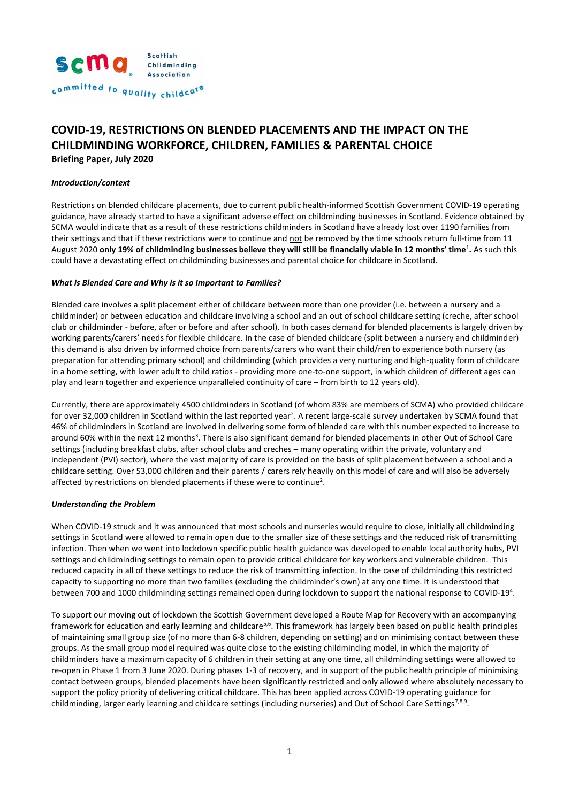

# **COVID-19, RESTRICTIONS ON BLENDED PLACEMENTS AND THE IMPACT ON THE CHILDMINDING WORKFORCE, CHILDREN, FAMILIES & PARENTAL CHOICE**

**Briefing Paper, July 2020**

#### *Introduction/context*

Restrictions on blended childcare placements, due to current public health-informed Scottish Government COVID-19 operating guidance, have already started to have a significant adverse effect on childminding businesses in Scotland. Evidence obtained by SCMA would indicate that as a result of these restrictions childminders in Scotland have already lost over 1190 families from their settings and that if these restrictions were to continue and not be removed by the time schools return full-time from 11 August 2020 **only 19% of childminding businesses believe they will still be financially viable in 12 months' time**<sup>1</sup> **.** As such this could have a devastating effect on childminding businesses and parental choice for childcare in Scotland.

#### *What is Blended Care and Why is it so Important to Families?*

Blended care involves a split placement either of childcare between more than one provider (i.e. between a nursery and a childminder) or between education and childcare involving a school and an out of school childcare setting (creche, after school club or childminder - before, after or before and after school). In both cases demand for blended placements is largely driven by working parents/carers' needs for flexible childcare. In the case of blended childcare (split between a nursery and childminder) this demand is also driven by informed choice from parents/carers who want their child/ren to experience both nursery (as preparation for attending primary school) and childminding (which provides a very nurturing and high-quality form of childcare in a home setting, with lower adult to child ratios - providing more one-to-one support, in which children of different ages can play and learn together and experience unparalleled continuity of care – from birth to 12 years old).

Currently, there are approximately 4500 childminders in Scotland (of whom 83% are members of SCMA) who provided childcare for over 32,000 children in Scotland within the last reported year<sup>2</sup>. A recent large-scale survey undertaken by SCMA found that 46% of childminders in Scotland are involved in delivering some form of blended care with this number expected to increase to around 60% within the next 12 months<sup>3</sup>. There is also significant demand for blended placements in other Out of School Care settings (including breakfast clubs, after school clubs and creches – many operating within the private, voluntary and independent (PVI) sector), where the vast majority of care is provided on the basis of split placement between a school and a childcare setting. Over 53,000 children and their parents / carers rely heavily on this model of care and will also be adversely affected by restrictions on blended placements if these were to continue<sup>2</sup>.

#### *Understanding the Problem*

When COVID-19 struck and it was announced that most schools and nurseries would require to close, initially all childminding settings in Scotland were allowed to remain open due to the smaller size of these settings and the reduced risk of transmitting infection. Then when we went into lockdown specific public health guidance was developed to enable local authority hubs, PVI settings and childminding settings to remain open to provide critical childcare for key workers and vulnerable children. This reduced capacity in all of these settings to reduce the risk of transmitting infection. In the case of childminding this restricted capacity to supporting no more than two families (excluding the childminder's own) at any one time. It is understood that between 700 and 1000 childminding settings remained open during lockdown to support the national response to COVID-19<sup>4</sup>.

To support our moving out of lockdown the Scottish Government developed a Route Map for Recovery with an accompanying framework for education and early learning and childcare<sup>5,6</sup>. This framework has largely been based on public health principles of maintaining small group size (of no more than 6-8 children, depending on setting) and on minimising contact between these groups. As the small group model required was quite close to the existing childminding model, in which the majority of childminders have a maximum capacity of 6 children in their setting at any one time, all childminding settings were allowed to re-open in Phase 1 from 3 June 2020. During phases 1-3 of recovery, and in support of the public health principle of minimising contact between groups, blended placements have been significantly restricted and only allowed where absolutely necessary to support the policy priority of delivering critical childcare. This has been applied across COVID-19 operating guidance for childminding, larger early learning and childcare settings (including nurseries) and Out of School Care Settings<sup>7,8,9</sup>.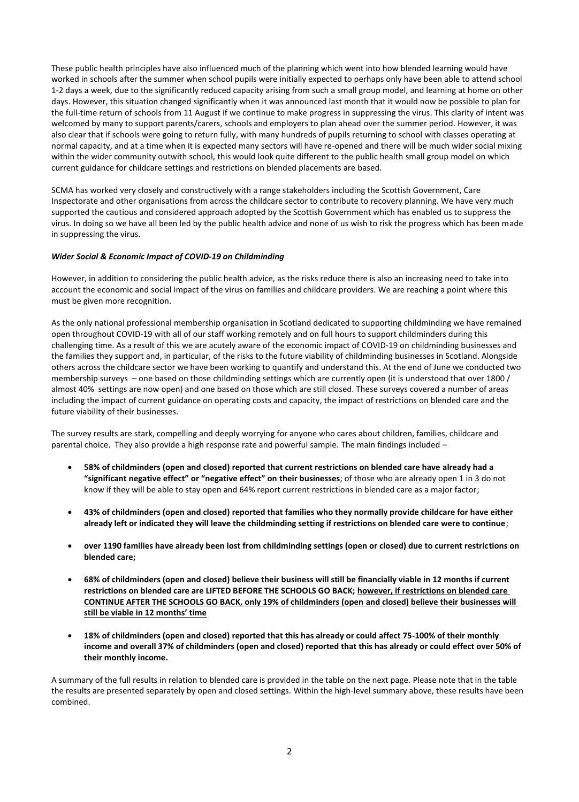These public health principles have also influenced much of the planning which went into how blended learning would have worked in schools after the summer when school pupils were initially expected to perhaps only have been able to attend school 1-2 days a week, due to the significantly reduced capacity arising from such a small group model, and learning at home on other days. However, this situation changed significantly when it was announced last month that it would now be possible to plan for the full-time return of schools from 11 August if we continue to make progress in suppressing the virus. This clarity of intent was welcomed by many to support parents/carers, schools and employers to plan ahead over the summer period. However, it was also clear that if schools were going to return fully, with many hundreds of pupils returning to school with classes operating at normal capacity, and at a time when it is expected many sectors will have re-opened and there will be much wider social mixing within the wider community outwith school, this would look quite different to the public health small group model on which current guidance for childcare settings and restrictions on blended placements are based.

SCMA has worked very closely and constructively with a range stakeholders including the Scottish Government, Care Inspectorate and other organisations from across the childcare sector to contribute to recovery planning. We have very much supported the cautious and considered approach adopted by the Scottish Government which has enabled us to suppress the virus. In doing so we have all been led by the public health advice and none of us wish to risk the progress which has been made in suppressing the virus.

#### *Wider Social & Economic Impact of COVID-19 on Childminding*

However, in addition to considering the public health advice, as the risks reduce there is also an increasing need to take into account the economic and social impact of the virus on families and childcare providers. We are reaching a point where this must be given more recognition.

As the only national professional membership organisation in Scotland dedicated to supporting childminding we have remained open throughout COVID-19 with all of our staff working remotely and on full hours to support childminders during this challenging time. As a result of this we are acutely aware of the economic impact of COVID-19 on childminding businesses and the families they support and, in particular, of the risks to the future viability of childminding businesses in Scotland. Alongside others across the childcare sector we have been working to quantify and understand this. At the end of June we conducted two membership surveys – one based on those childminding settings which are currently open (it is understood that over 1800 / almost 40% settings are now open) and one based on those which are still closed. These surveys covered a number of areas including the impact of current guidance on operating costs and capacity, the impact of restrictions on blended care and the future viability of their businesses.

The survey results are stark, compelling and deeply worrying for anyone who cares about children, families, childcare and parental choice. They also provide a high response rate and powerful sample. The main findings included –

- **58% of childminders (open and closed) reported that current restrictions on blended care have already had a "significant negative effect" or "negative effect" on their businesses**; of those who are already open 1 in 3 do not know if they will be able to stay open and 64% report current restrictions in blended care as a major factor;
- **43% of childminders (open and closed) reported that families who they normally provide childcare for have either already left or indicated they will leave the childminding setting if restrictions on blended care were to continue**;
- **over 1190 families have already been lost from childminding settings (open or closed) due to current restrictions on blended care;**
- **68% of childminders (open and closed) believe their business will still be financially viable in 12 months if current restrictions on blended care are LIFTED BEFORE THE SCHOOLS GO BACK; however, if restrictions on blended care CONTINUE AFTER THE SCHOOLS GO BACK, only 19% of childminders (open and closed) believe their businesses will still be viable in 12 months' time**
- **18% of childminders (open and closed) reported that this has already or could affect 75-100% of their monthly income and overall 37% of childminders (open and closed) reported that this has already or could effect over 50% of their monthly income.**

A summary of the full results in relation to blended care is provided in the table on the next page. Please note that in the table the results are presented separately by open and closed settings. Within the high-level summary above, these results have been combined.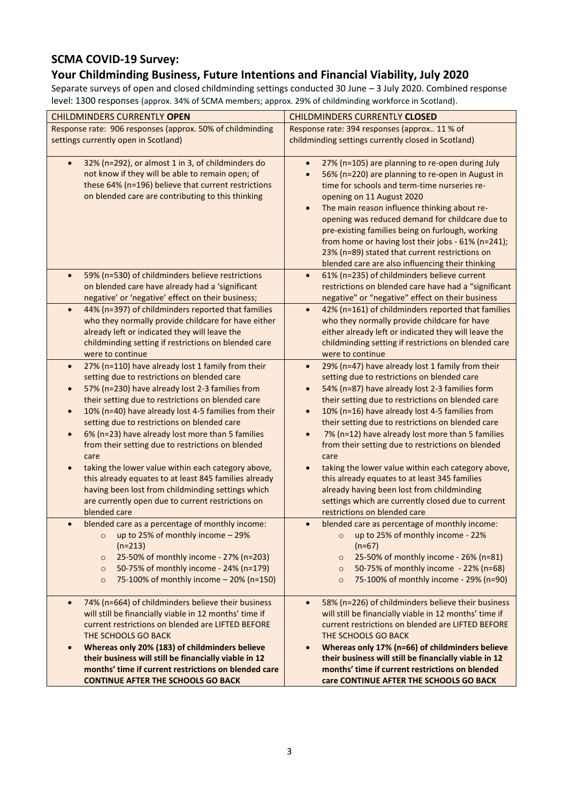## **SCMA COVID-19 Survey:**

## **Your Childminding Business, Future Intentions and Financial Viability, July 2020**

Separate surveys of open and closed childminding settings conducted 30 June – 3 July 2020. Combined response level: 1300 responses (approx. 34% of SCMA members; approx. 29% of childminding workforce in Scotland).

| <b>CHILDMINDERS CURRENTLY OPEN</b>                                                                                                                                                                                                                                                                                                                                                                                                                                                                                                                                                                                                                                                                                                         | <b>CHILDMINDERS CURRENTLY CLOSED</b>                                                                                                                                                                                                                                                                                                                                                                                                                                                                                                                                                                                                                                                                                          |
|--------------------------------------------------------------------------------------------------------------------------------------------------------------------------------------------------------------------------------------------------------------------------------------------------------------------------------------------------------------------------------------------------------------------------------------------------------------------------------------------------------------------------------------------------------------------------------------------------------------------------------------------------------------------------------------------------------------------------------------------|-------------------------------------------------------------------------------------------------------------------------------------------------------------------------------------------------------------------------------------------------------------------------------------------------------------------------------------------------------------------------------------------------------------------------------------------------------------------------------------------------------------------------------------------------------------------------------------------------------------------------------------------------------------------------------------------------------------------------------|
| Response rate: 906 responses (approx. 50% of childminding                                                                                                                                                                                                                                                                                                                                                                                                                                                                                                                                                                                                                                                                                  | Response rate: 394 responses (approx 11 % of                                                                                                                                                                                                                                                                                                                                                                                                                                                                                                                                                                                                                                                                                  |
| settings currently open in Scotland)                                                                                                                                                                                                                                                                                                                                                                                                                                                                                                                                                                                                                                                                                                       | childminding settings currently closed in Scotland)                                                                                                                                                                                                                                                                                                                                                                                                                                                                                                                                                                                                                                                                           |
| 32% (n=292), or almost 1 in 3, of childminders do<br>$\bullet$<br>not know if they will be able to remain open; of<br>these 64% (n=196) believe that current restrictions<br>on blended care are contributing to this thinking                                                                                                                                                                                                                                                                                                                                                                                                                                                                                                             | 27% (n=105) are planning to re-open during July<br>$\bullet$<br>56% (n=220) are planning to re-open in August in<br>time for schools and term-time nurseries re-<br>opening on 11 August 2020<br>The main reason influence thinking about re-<br>$\bullet$<br>opening was reduced demand for childcare due to<br>pre-existing families being on furlough, working<br>from home or having lost their jobs - 61% (n=241);<br>23% (n=89) stated that current restrictions on<br>blended care are also influencing their thinking                                                                                                                                                                                                 |
| 59% (n=530) of childminders believe restrictions<br>$\bullet$<br>on blended care have already had a 'significant<br>negative' or 'negative' effect on their business;                                                                                                                                                                                                                                                                                                                                                                                                                                                                                                                                                                      | 61% (n=235) of childminders believe current<br>$\bullet$<br>restrictions on blended care have had a "significant<br>negative" or "negative" effect on their business                                                                                                                                                                                                                                                                                                                                                                                                                                                                                                                                                          |
| 44% (n=397) of childminders reported that families<br>$\bullet$<br>who they normally provide childcare for have either<br>already left or indicated they will leave the<br>childminding setting if restrictions on blended care<br>were to continue                                                                                                                                                                                                                                                                                                                                                                                                                                                                                        | 42% (n=161) of childminders reported that families<br>$\bullet$<br>who they normally provide childcare for have<br>either already left or indicated they will leave the<br>childminding setting if restrictions on blended care<br>were to continue                                                                                                                                                                                                                                                                                                                                                                                                                                                                           |
| 27% (n=110) have already lost 1 family from their<br>$\bullet$<br>setting due to restrictions on blended care<br>57% (n=230) have already lost 2-3 families from<br>$\bullet$<br>their setting due to restrictions on blended care<br>10% (n=40) have already lost 4-5 families from their<br>$\bullet$<br>setting due to restrictions on blended care<br>6% (n=23) have already lost more than 5 families<br>$\bullet$<br>from their setting due to restrictions on blended<br>care<br>taking the lower value within each category above,<br>$\bullet$<br>this already equates to at least 845 families already<br>having been lost from childminding settings which<br>are currently open due to current restrictions on<br>blended care | 29% (n=47) have already lost 1 family from their<br>$\bullet$<br>setting due to restrictions on blended care<br>54% (n=87) have already lost 2-3 families form<br>$\bullet$<br>their setting due to restrictions on blended care<br>10% (n=16) have already lost 4-5 families from<br>$\bullet$<br>their setting due to restrictions on blended care<br>7% (n=12) have already lost more than 5 families<br>from their setting due to restrictions on blended<br>care<br>taking the lower value within each category above,<br>$\bullet$<br>this already equates to at least 345 families<br>already having been lost from childminding<br>settings which are currently closed due to current<br>restrictions on blended care |
| blended care as a percentage of monthly income:<br>$\bullet$<br>up to 25% of monthly income - 29%<br>$\circ$<br>$(n=213)$<br>25-50% of monthly income - 27% (n=203)<br>$\circ$<br>50-75% of monthly income - 24% (n=179)<br>$\circ$<br>75-100% of monthly income - 20% (n=150)<br>$\circ$                                                                                                                                                                                                                                                                                                                                                                                                                                                  | blended care as percentage of monthly income:<br>up to 25% of monthly income - 22%<br>$\circ$<br>$(n=67)$<br>25-50% of monthly income - 26% (n=81)<br>$\circ$<br>50-75% of monthly income - 22% (n=68)<br>$\circ$<br>75-100% of monthly income - 29% (n=90)<br>$\circ$                                                                                                                                                                                                                                                                                                                                                                                                                                                        |
| 74% (n=664) of childminders believe their business<br>$\bullet$<br>will still be financially viable in 12 months' time if<br>current restrictions on blended are LIFTED BEFORE<br>THE SCHOOLS GO BACK<br>Whereas only 20% (183) of childminders believe<br>$\bullet$<br>their business will still be financially viable in 12<br>months' time if current restrictions on blended care<br><b>CONTINUE AFTER THE SCHOOLS GO BACK</b>                                                                                                                                                                                                                                                                                                         | 58% (n=226) of childminders believe their business<br>$\bullet$<br>will still be financially viable in 12 months' time if<br>current restrictions on blended are LIFTED BEFORE<br>THE SCHOOLS GO BACK<br>Whereas only 17% (n=66) of childminders believe<br>$\bullet$<br>their business will still be financially viable in 12<br>months' time if current restrictions on blended<br>care CONTINUE AFTER THE SCHOOLS GO BACK                                                                                                                                                                                                                                                                                                  |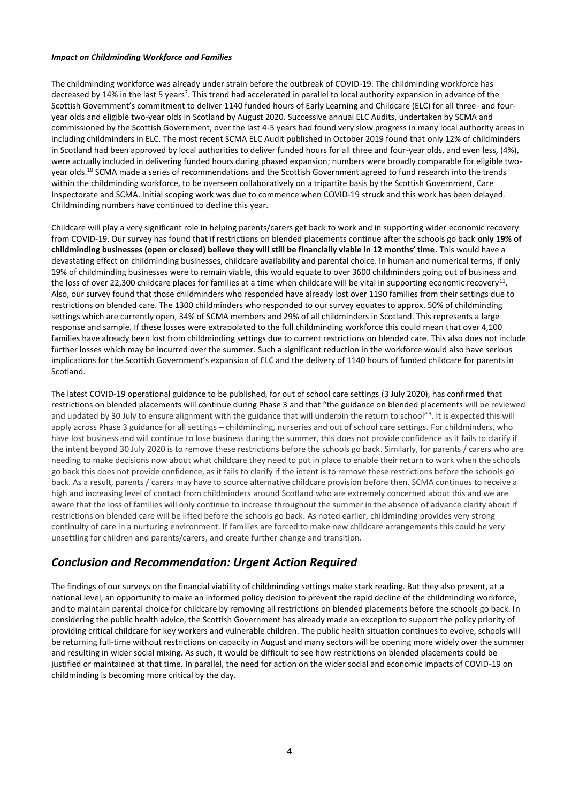#### *Impact on Childminding Workforce and Families*

The childminding workforce was already under strain before the outbreak of COVID-19. The childminding workforce has decreased by 14% in the last 5 years<sup>2</sup>. This trend had accelerated in parallel to local authority expansion in advance of the Scottish Government's commitment to deliver 1140 funded hours of Early Learning and Childcare (ELC) for all three- and fouryear olds and eligible two-year olds in Scotland by August 2020. Successive annual ELC Audits, undertaken by SCMA and commissioned by the Scottish Government, over the last 4-5 years had found very slow progress in many local authority areas in including childminders in ELC. The most recent SCMA ELC Audit published in October 2019 found that only 12% of childminders in Scotland had been approved by local authorities to deliver funded hours for all three and four-year olds, and even less, (4%), were actually included in delivering funded hours during phased expansion; numbers were broadly comparable for eligible twoyear olds.<sup>10</sup> SCMA made a series of recommendations and the Scottish Government agreed to fund research into the trends within the childminding workforce, to be overseen collaboratively on a tripartite basis by the Scottish Government, Care Inspectorate and SCMA. Initial scoping work was due to commence when COVID-19 struck and this work has been delayed. Childminding numbers have continued to decline this year.

Childcare will play a very significant role in helping parents/carers get back to work and in supporting wider economic recovery from COVID-19. Our survey has found that if restrictions on blended placements continue after the schools go back **only 19% of childminding businesses (open or closed) believe they will still be financially viable in 12 months' time**. This would have a devastating effect on childminding businesses, childcare availability and parental choice. In human and numerical terms, if only 19% of childminding businesses were to remain viable, this would equate to over 3600 childminders going out of business and the loss of over 22,300 childcare places for families at a time when childcare will be vital in supporting economic recovery $^{\rm 11}.$ Also, our survey found that those childminders who responded have already lost over 1190 families from their settings due to restrictions on blended care. The 1300 childminders who responded to our survey equates to approx. 50% of childminding settings which are currently open, 34% of SCMA members and 29% of all childminders in Scotland. This represents a large response and sample. If these losses were extrapolated to the full childminding workforce this could mean that over 4,100 families have already been lost from childminding settings due to current restrictions on blended care. This also does not include further losses which may be incurred over the summer. Such a significant reduction in the workforce would also have serious implications for the Scottish Government's expansion of ELC and the delivery of 1140 hours of funded childcare for parents in Scotland.

The latest COVID-19 operational guidance to be published, for out of school care settings (3 July 2020), has confirmed that restrictions on blended placements will continue during Phase 3 and that "the guidance on blended placements will be reviewed and updated by 30 July to ensure alignment with the guidance that will underpin the return to school"<sup>9</sup>. It is expected this will apply across Phase 3 guidance for all settings – childminding, nurseries and out of school care settings. For childminders, who have lost business and will continue to lose business during the summer, this does not provide confidence as it fails to clarify if the intent beyond 30 July 2020 is to remove these restrictions before the schools go back. Similarly, for parents / carers who are needing to make decisions now about what childcare they need to put in place to enable their return to work when the schools go back this does not provide confidence, as it fails to clarify if the intent is to remove these restrictions before the schools go back. As a result, parents / carers may have to source alternative childcare provision before then. SCMA continues to receive a high and increasing level of contact from childminders around Scotland who are extremely concerned about this and we are aware that the loss of families will only continue to increase throughout the summer in the absence of advance clarity about if restrictions on blended care will be lifted before the schools go back. As noted earlier, childminding provides very strong continuity of care in a nurturing environment. If families are forced to make new childcare arrangements this could be very unsettling for children and parents/carers, and create further change and transition.

### *Conclusion and Recommendation: Urgent Action Required*

The findings of our surveys on the financial viability of childminding settings make stark reading. But they also present, at a national level, an opportunity to make an informed policy decision to prevent the rapid decline of the childminding workforce, and to maintain parental choice for childcare by removing all restrictions on blended placements before the schools go back. In considering the public health advice, the Scottish Government has already made an exception to support the policy priority of providing critical childcare for key workers and vulnerable children. The public health situation continues to evolve, schools will be returning full-time without restrictions on capacity in August and many sectors will be opening more widely over the summer and resulting in wider social mixing. As such, it would be difficult to see how restrictions on blended placements could be justified or maintained at that time. In parallel, the need for action on the wider social and economic impacts of COVID-19 on childminding is becoming more critical by the day.